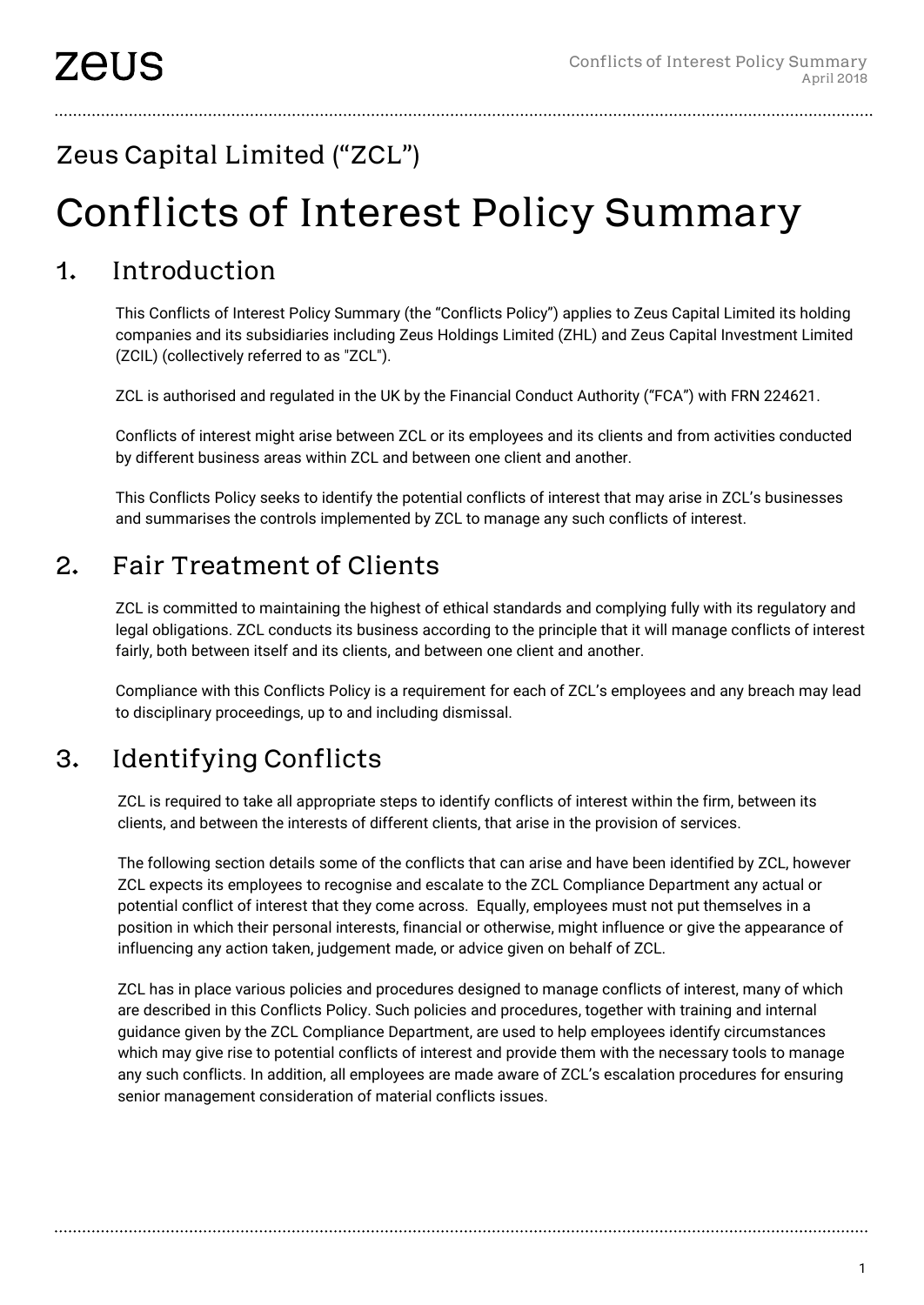## Zeus Capital Limited ("ZCL")

# Conflicts of Interest Policy Summary

### 1. Introduction

This Conflicts of Interest Policy Summary (the "Conflicts Policy") applies to Zeus Capital Limited its holding companies and its subsidiaries including Zeus Holdings Limited (ZHL) and Zeus Capital Investment Limited (ZCIL) (collectively referred to as "ZCL").

ZCL is authorised and regulated in the UK by the Financial Conduct Authority ("FCA") with FRN 224621.

Conflicts of interest might arise between ZCL or its employees and its clients and from activities conducted by different business areas within ZCL and between one client and another.

This Conflicts Policy seeks to identify the potential conflicts of interest that may arise in ZCL's businesses and summarises the controls implemented by ZCL to manage any such conflicts of interest.

### 2. Fair Treatment of Clients

ZCL is committed to maintaining the highest of ethical standards and complying fully with its regulatory and legal obligations. ZCL conducts its business according to the principle that it will manage conflicts of interest fairly, both between itself and its clients, and between one client and another.

Compliance with this Conflicts Policy is a requirement for each of ZCL's employees and any breach may lead to disciplinary proceedings, up to and including dismissal.

### 3. Identifying Conflicts

ZCL is required to take all appropriate steps to identify conflicts of interest within the firm, between its clients, and between the interests of different clients, that arise in the provision of services.

The following section details some of the conflicts that can arise and have been identified by ZCL, however ZCL expects its employees to recognise and escalate to the ZCL Compliance Department any actual or potential conflict of interest that they come across. Equally, employees must not put themselves in a position in which their personal interests, financial or otherwise, might influence or give the appearance of influencing any action taken, judgement made, or advice given on behalf of ZCL.

ZCL has in place various policies and procedures designed to manage conflicts of interest, many of which are described in this Conflicts Policy. Such policies and procedures, together with training and internal guidance given by the ZCL Compliance Department, are used to help employees identify circumstances which may give rise to potential conflicts of interest and provide them with the necessary tools to manage any such conflicts. In addition, all employees are made aware of ZCL's escalation procedures for ensuring senior management consideration of material conflicts issues.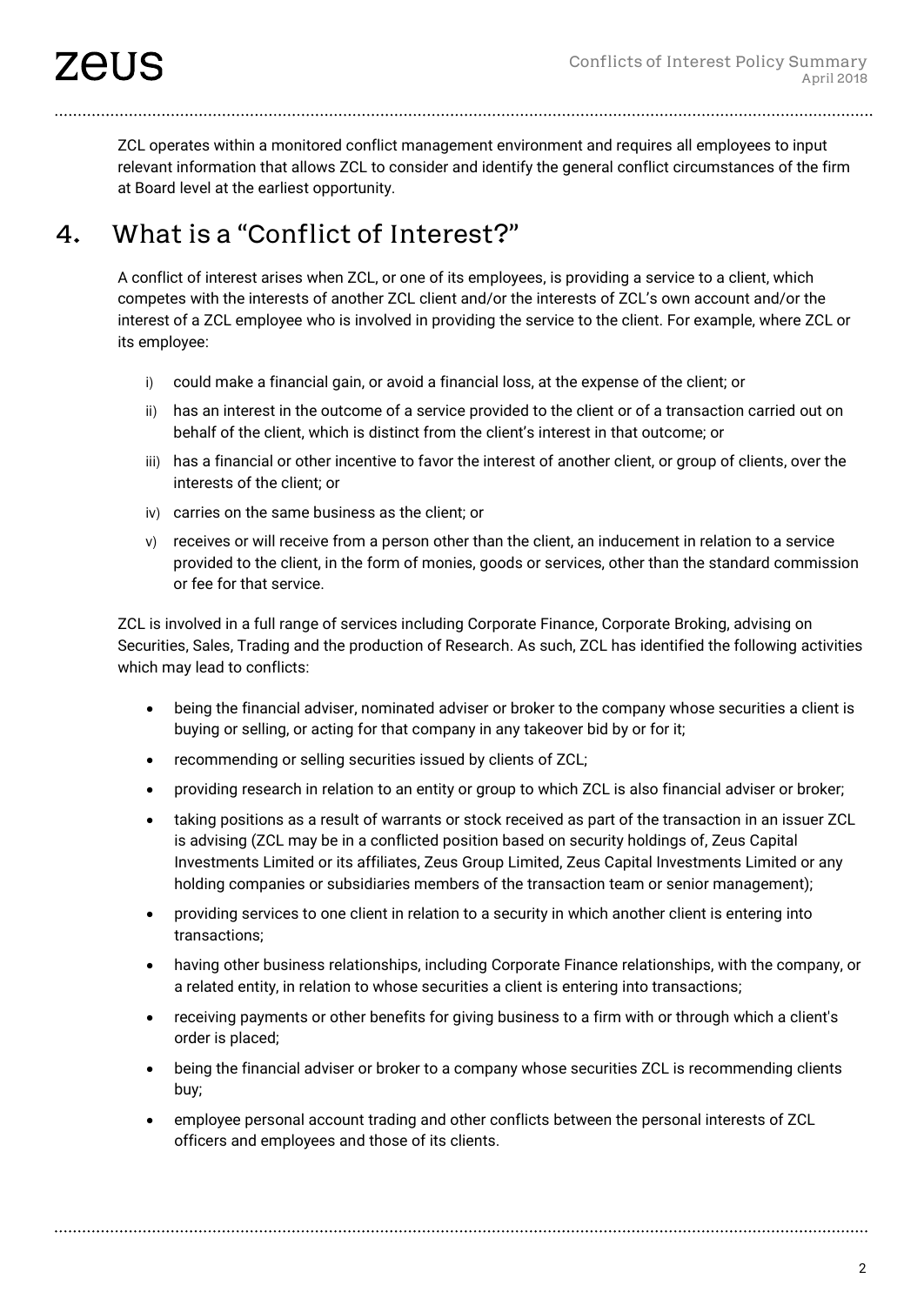ZCL operates within a monitored conflict management environment and requires all employees to input relevant information that allows ZCL to consider and identify the general conflict circumstances of the firm at Board level at the earliest opportunity.

### 4. What is a "Conflict of Interest?"

A conflict of interest arises when ZCL, or one of its employees, is providing a service to a client, which competes with the interests of another ZCL client and/or the interests of ZCL's own account and/or the interest of a ZCL employee who is involved in providing the service to the client. For example, where ZCL or its employee:

- i) could make a financial gain, or avoid a financial loss, at the expense of the client; or
- ii) has an interest in the outcome of a service provided to the client or of a transaction carried out on behalf of the client, which is distinct from the client's interest in that outcome; or
- iii) has a financial or other incentive to favor the interest of another client, or group of clients, over the interests of the client; or
- iv) carries on the same business as the client; or
- v) receives or will receive from a person other than the client, an inducement in relation to a service provided to the client, in the form of monies, goods or services, other than the standard commission or fee for that service.

ZCL is involved in a full range of services including Corporate Finance, Corporate Broking, advising on Securities, Sales, Trading and the production of Research. As such, ZCL has identified the following activities which may lead to conflicts:

- being the financial adviser, nominated adviser or broker to the company whose securities a client is buying or selling, or acting for that company in any takeover bid by or for it;
- recommending or selling securities issued by clients of ZCL;
- providing research in relation to an entity or group to which ZCL is also financial adviser or broker;
- taking positions as a result of warrants or stock received as part of the transaction in an issuer ZCL is advising (ZCL may be in a conflicted position based on security holdings of, Zeus Capital Investments Limited or its affiliates, Zeus Group Limited, Zeus Capital Investments Limited or any holding companies or subsidiaries members of the transaction team or senior management);
- providing services to one client in relation to a security in which another client is entering into transactions;
- having other business relationships, including Corporate Finance relationships, with the company, or a related entity, in relation to whose securities a client is entering into transactions;
- receiving payments or other benefits for giving business to a firm with or through which a client's order is placed;
- being the financial adviser or broker to a company whose securities ZCL is recommending clients buy;
- employee personal account trading and other conflicts between the personal interests of ZCL officers and employees and those of its clients.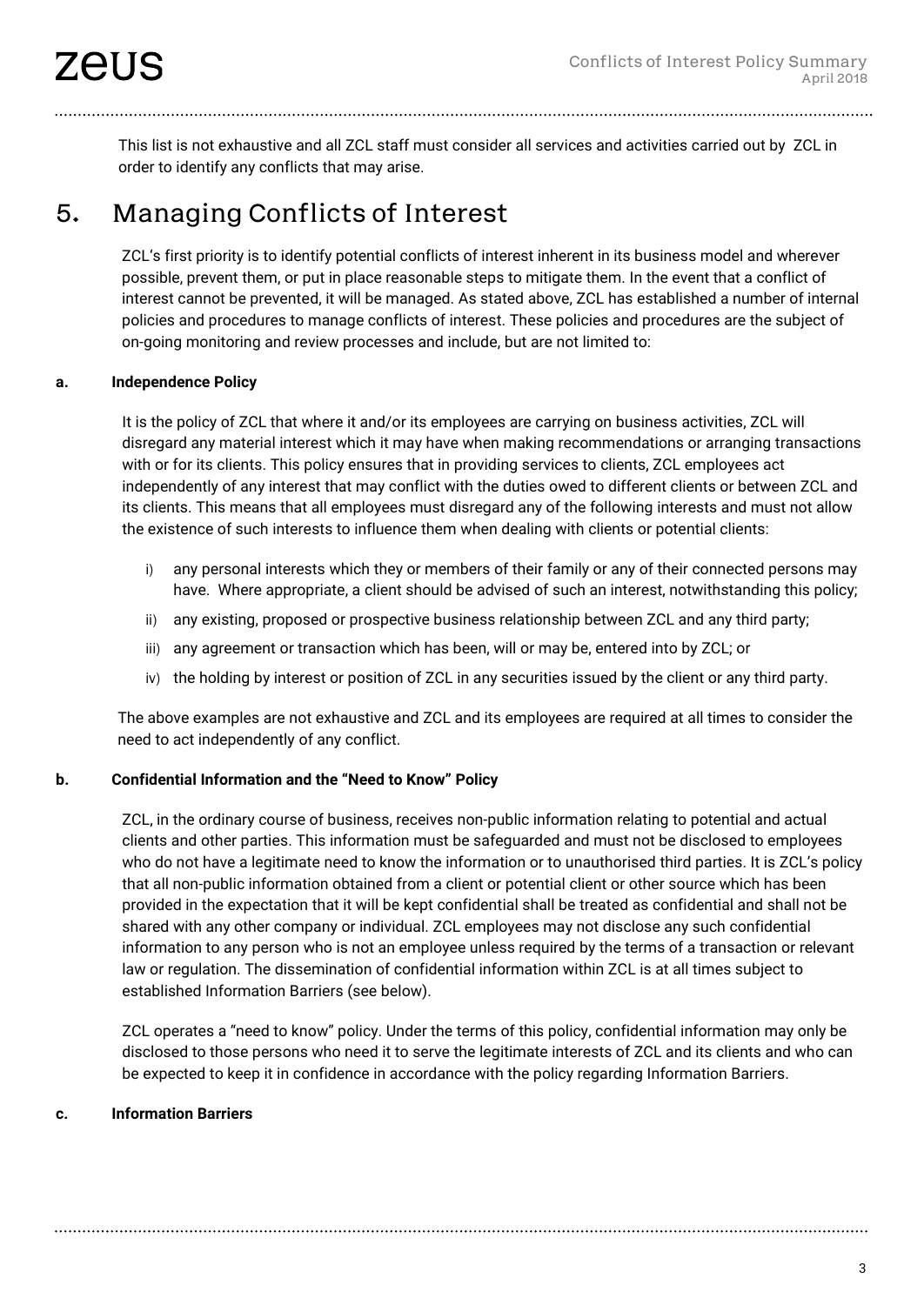This list is not exhaustive and all ZCL staff must consider all services and activities carried out by ZCL in order to identify any conflicts that may arise.

### 5. Managing Conflicts of Interest

ZCL's first priority is to identify potential conflicts of interest inherent in its business model and wherever possible, prevent them, or put in place reasonable steps to mitigate them. In the event that a conflict of interest cannot be prevented, it will be managed. As stated above, ZCL has established a number of internal policies and procedures to manage conflicts of interest. These policies and procedures are the subject of on-going monitoring and review processes and include, but are not limited to:

#### **a. Independence Policy**

It is the policy of ZCL that where it and/or its employees are carrying on business activities, ZCL will disregard any material interest which it may have when making recommendations or arranging transactions with or for its clients. This policy ensures that in providing services to clients, ZCL employees act independently of any interest that may conflict with the duties owed to different clients or between ZCL and its clients. This means that all employees must disregard any of the following interests and must not allow the existence of such interests to influence them when dealing with clients or potential clients:

- i) any personal interests which they or members of their family or any of their connected persons may have. Where appropriate, a client should be advised of such an interest, notwithstanding this policy;
- ii) any existing, proposed or prospective business relationship between ZCL and any third party;
- iii) any agreement or transaction which has been, will or may be, entered into by ZCL; or
- iv) the holding by interest or position of ZCL in any securities issued by the client or any third party.

The above examples are not exhaustive and ZCL and its employees are required at all times to consider the need to act independently of any conflict.

#### **b. Confidential Information and the "Need to Know" Policy**

ZCL, in the ordinary course of business, receives non-public information relating to potential and actual clients and other parties. This information must be safeguarded and must not be disclosed to employees who do not have a legitimate need to know the information or to unauthorised third parties. It is ZCL's policy that all non-public information obtained from a client or potential client or other source which has been provided in the expectation that it will be kept confidential shall be treated as confidential and shall not be shared with any other company or individual. ZCL employees may not disclose any such confidential information to any person who is not an employee unless required by the terms of a transaction or relevant law or regulation. The dissemination of confidential information within ZCL is at all times subject to established Information Barriers (see below).

ZCL operates a "need to know" policy. Under the terms of this policy, confidential information may only be disclosed to those persons who need it to serve the legitimate interests of ZCL and its clients and who can be expected to keep it in confidence in accordance with the policy regarding Information Barriers.

#### **c. Information Barriers**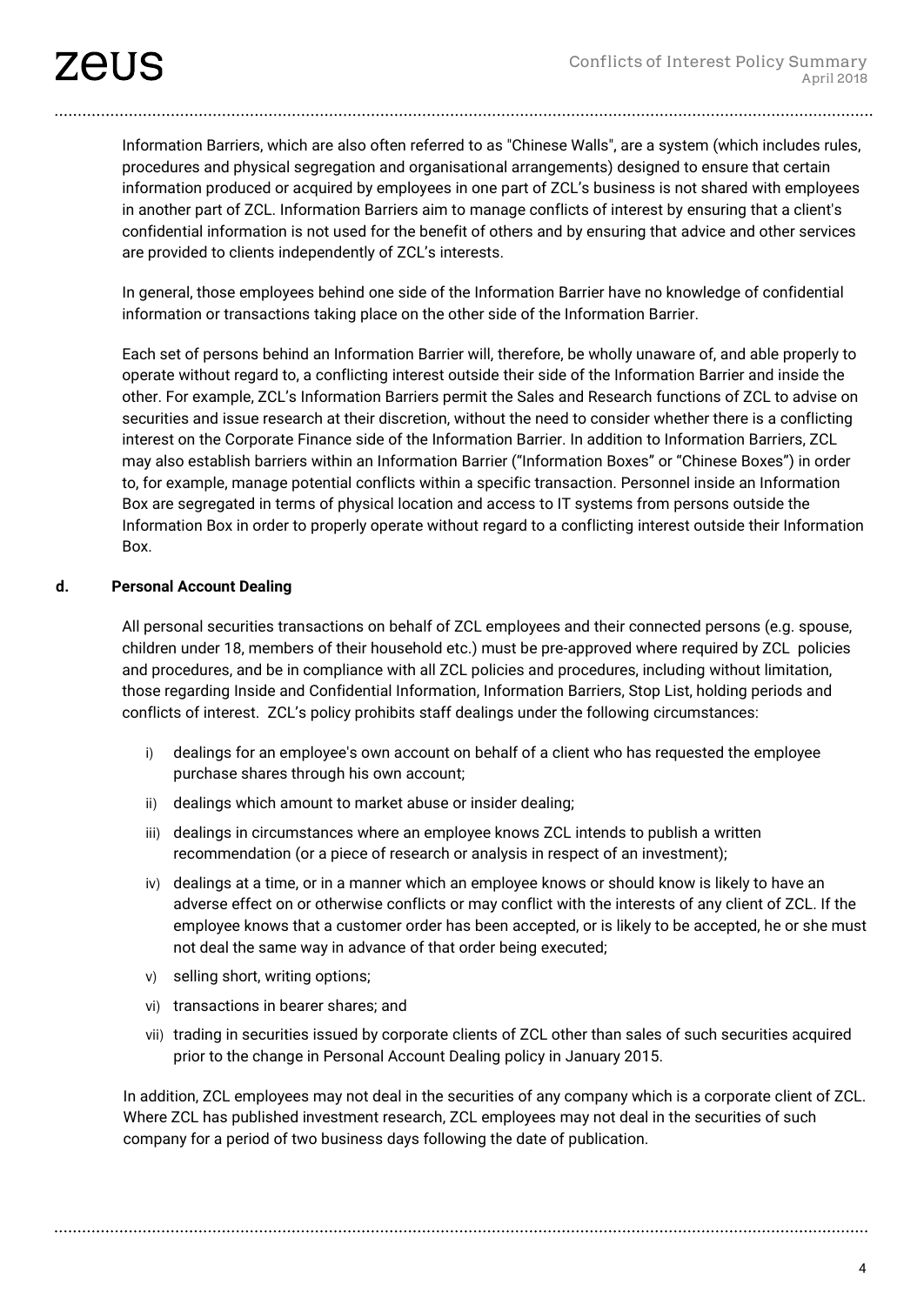Information Barriers, which are also often referred to as "Chinese Walls", are a system (which includes rules, procedures and physical segregation and organisational arrangements) designed to ensure that certain information produced or acquired by employees in one part of ZCL's business is not shared with employees in another part of ZCL. Information Barriers aim to manage conflicts of interest by ensuring that a client's confidential information is not used for the benefit of others and by ensuring that advice and other services are provided to clients independently of ZCL's interests.

In general, those employees behind one side of the Information Barrier have no knowledge of confidential information or transactions taking place on the other side of the Information Barrier.

Each set of persons behind an Information Barrier will, therefore, be wholly unaware of, and able properly to operate without regard to, a conflicting interest outside their side of the Information Barrier and inside the other. For example, ZCL's Information Barriers permit the Sales and Research functions of ZCL to advise on securities and issue research at their discretion, without the need to consider whether there is a conflicting interest on the Corporate Finance side of the Information Barrier. In addition to Information Barriers, ZCL may also establish barriers within an Information Barrier ("Information Boxes" or "Chinese Boxes") in order to, for example, manage potential conflicts within a specific transaction. Personnel inside an Information Box are segregated in terms of physical location and access to IT systems from persons outside the Information Box in order to properly operate without regard to a conflicting interest outside their Information Box.

#### **d. Personal Account Dealing**

All personal securities transactions on behalf of ZCL employees and their connected persons (e.g. spouse, children under 18, members of their household etc.) must be pre-approved where required by ZCL policies and procedures, and be in compliance with all ZCL policies and procedures, including without limitation, those regarding Inside and Confidential Information, Information Barriers, Stop List, holding periods and conflicts of interest. ZCL's policy prohibits staff dealings under the following circumstances:

- i) dealings for an employee's own account on behalf of a client who has requested the employee purchase shares through his own account;
- ii) dealings which amount to market abuse or insider dealing;
- iii) dealings in circumstances where an employee knows ZCL intends to publish a written recommendation (or a piece of research or analysis in respect of an investment);
- iv) dealings at a time, or in a manner which an employee knows or should know is likely to have an adverse effect on or otherwise conflicts or may conflict with the interests of any client of ZCL. If the employee knows that a customer order has been accepted, or is likely to be accepted, he or she must not deal the same way in advance of that order being executed;
- v) selling short, writing options;
- vi) transactions in bearer shares; and
- vii) trading in securities issued by corporate clients of ZCL other than sales of such securities acquired prior to the change in Personal Account Dealing policy in January 2015.

In addition, ZCL employees may not deal in the securities of any company which is a corporate client of ZCL. Where ZCL has published investment research, ZCL employees may not deal in the securities of such company for a period of two business days following the date of publication.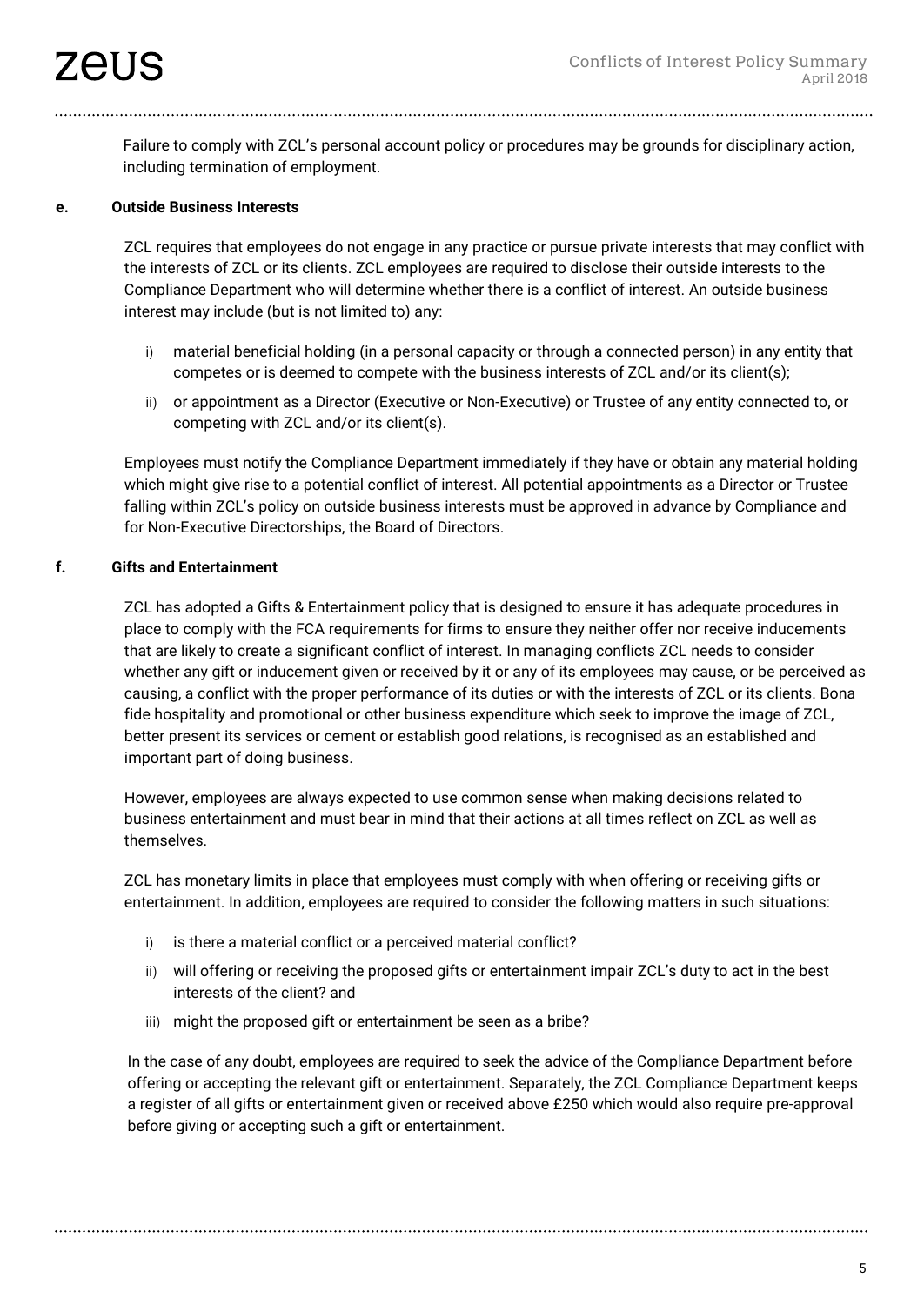Failure to comply with ZCL's personal account policy or procedures may be grounds for disciplinary action, including termination of employment.

#### **e. Outside Business Interests**

ZCL requires that employees do not engage in any practice or pursue private interests that may conflict with the interests of ZCL or its clients. ZCL employees are required to disclose their outside interests to the Compliance Department who will determine whether there is a conflict of interest. An outside business interest may include (but is not limited to) any:

- i) material beneficial holding (in a personal capacity or through a connected person) in any entity that competes or is deemed to compete with the business interests of ZCL and/or its client(s);
- ii) or appointment as a Director (Executive or Non-Executive) or Trustee of any entity connected to, or competing with ZCL and/or its client(s).

Employees must notify the Compliance Department immediately if they have or obtain any material holding which might give rise to a potential conflict of interest. All potential appointments as a Director or Trustee falling within ZCL's policy on outside business interests must be approved in advance by Compliance and for Non-Executive Directorships, the Board of Directors.

#### **f. Gifts and Entertainment**

ZCL has adopted a Gifts & Entertainment policy that is designed to ensure it has adequate procedures in place to comply with the FCA requirements for firms to ensure they neither offer nor receive inducements that are likely to create a significant conflict of interest. In managing conflicts ZCL needs to consider whether any gift or inducement given or received by it or any of its employees may cause, or be perceived as causing, a conflict with the proper performance of its duties or with the interests of ZCL or its clients. Bona fide hospitality and promotional or other business expenditure which seek to improve the image of ZCL, better present its services or cement or establish good relations, is recognised as an established and important part of doing business.

However, employees are always expected to use common sense when making decisions related to business entertainment and must bear in mind that their actions at all times reflect on ZCL as well as themselves.

ZCL has monetary limits in place that employees must comply with when offering or receiving gifts or entertainment. In addition, employees are required to consider the following matters in such situations:

- i) is there a material conflict or a perceived material conflict?
- ii) will offering or receiving the proposed gifts or entertainment impair ZCL's duty to act in the best interests of the client? and
- iii) might the proposed gift or entertainment be seen as a bribe?

In the case of any doubt, employees are required to seek the advice of the Compliance Department before offering or accepting the relevant gift or entertainment. Separately, the ZCL Compliance Department keeps a register of all gifts or entertainment given or received above £250 which would also require pre-approval before giving or accepting such a gift or entertainment.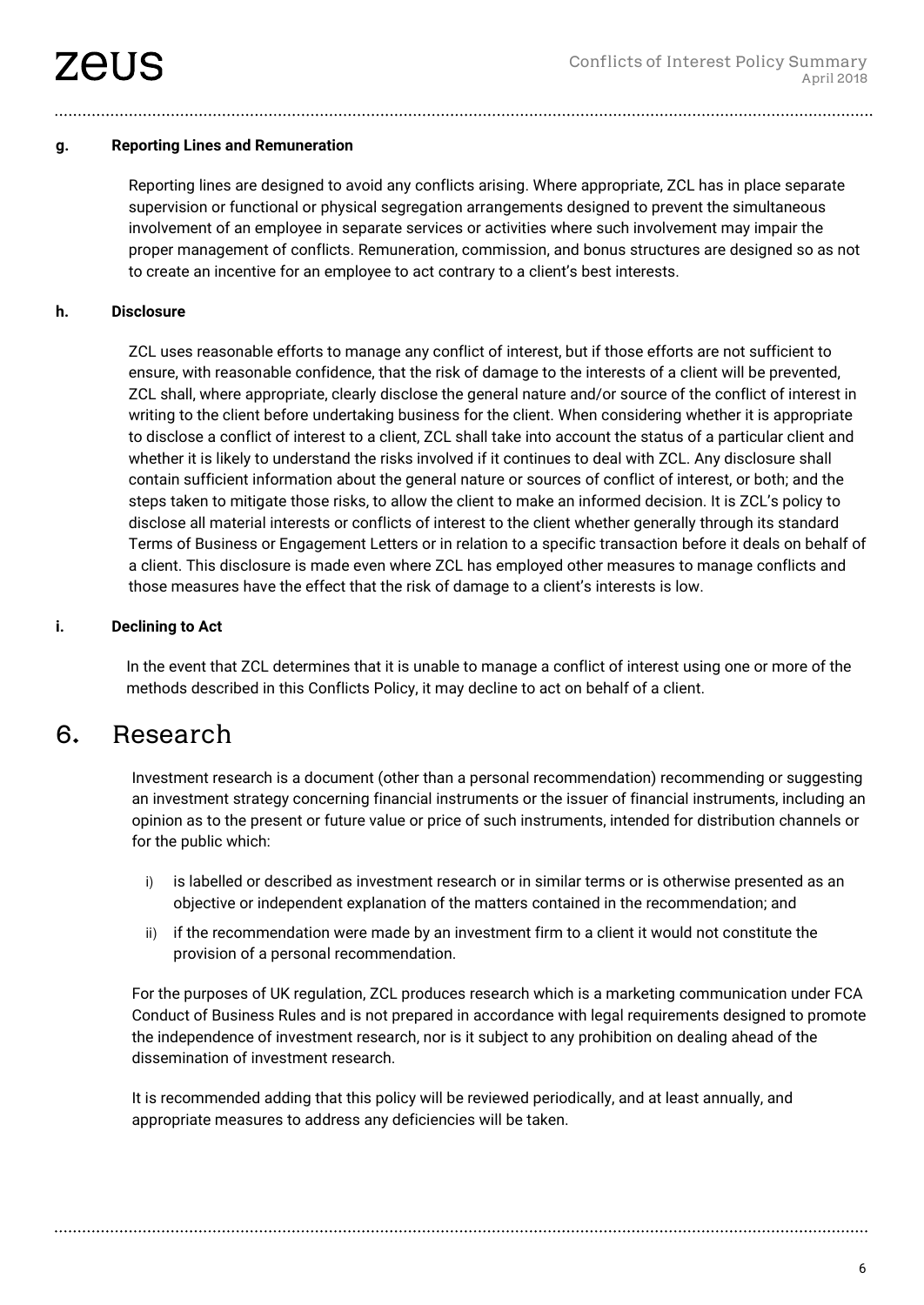#### **g. Reporting Lines and Remuneration**

Reporting lines are designed to avoid any conflicts arising. Where appropriate, ZCL has in place separate supervision or functional or physical segregation arrangements designed to prevent the simultaneous involvement of an employee in separate services or activities where such involvement may impair the proper management of conflicts. Remuneration, commission, and bonus structures are designed so as not to create an incentive for an employee to act contrary to a client's best interests.

#### **h. Disclosure**

ZCL uses reasonable efforts to manage any conflict of interest, but if those efforts are not sufficient to ensure, with reasonable confidence, that the risk of damage to the interests of a client will be prevented, ZCL shall, where appropriate, clearly disclose the general nature and/or source of the conflict of interest in writing to the client before undertaking business for the client. When considering whether it is appropriate to disclose a conflict of interest to a client, ZCL shall take into account the status of a particular client and whether it is likely to understand the risks involved if it continues to deal with ZCL. Any disclosure shall contain sufficient information about the general nature or sources of conflict of interest, or both; and the steps taken to mitigate those risks, to allow the client to make an informed decision. It is ZCL's policy to disclose all material interests or conflicts of interest to the client whether generally through its standard Terms of Business or Engagement Letters or in relation to a specific transaction before it deals on behalf of a client. This disclosure is made even where ZCL has employed other measures to manage conflicts and those measures have the effect that the risk of damage to a client's interests is low.

#### **i. Declining to Act**

In the event that ZCL determines that it is unable to manage a conflict of interest using one or more of the methods described in this Conflicts Policy, it may decline to act on behalf of a client.

### 6. Research

Investment research is a document (other than a personal recommendation) recommending or suggesting an investment strategy concerning financial instruments or the issuer of financial instruments, including an opinion as to the present or future value or price of such instruments, intended for distribution channels or for the public which:

- i) is labelled or described as investment research or in similar terms or is otherwise presented as an objective or independent explanation of the matters contained in the recommendation; and
- ii) if the recommendation were made by an investment firm to a client it would not constitute the provision of a personal recommendation.

For the purposes of UK regulation, ZCL produces research which is a marketing communication under FCA Conduct of Business Rules and is not prepared in accordance with legal requirements designed to promote the independence of investment research, nor is it subject to any prohibition on dealing ahead of the dissemination of investment research.

It is recommended adding that this policy will be reviewed periodically, and at least annually, and appropriate measures to address any deficiencies will be taken.